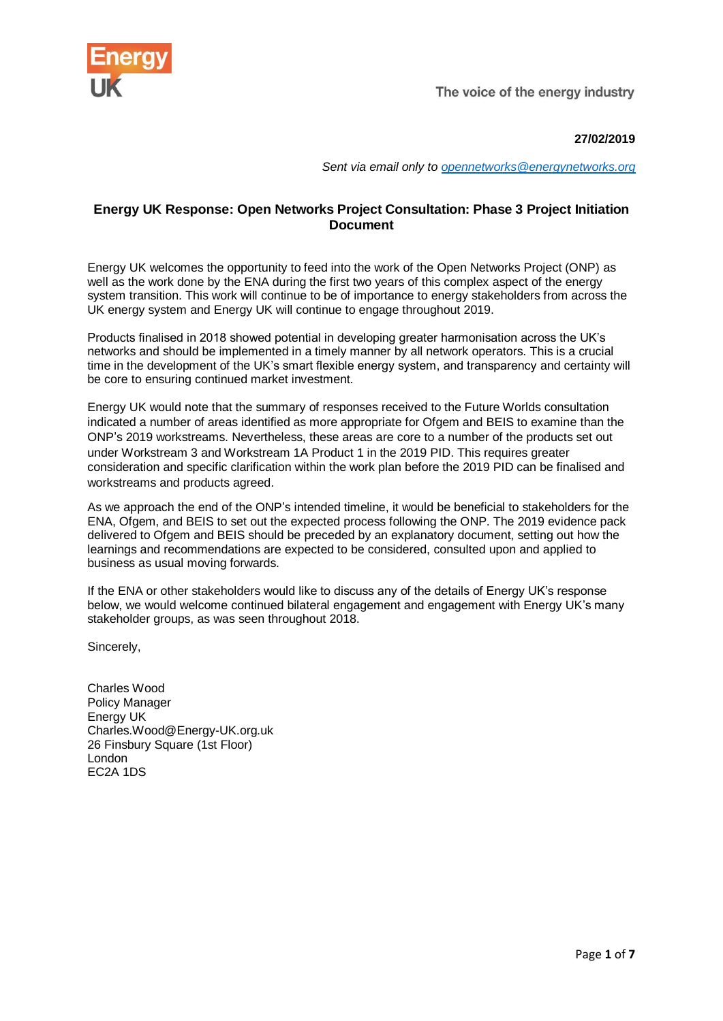

The voice of the energy industry

# **27/02/2019**

*Sent via email only to [opennetworks@energynetworks.org](mailto:opennetworks@energynetworks.org)*

# **Energy UK Response: Open Networks Project Consultation: Phase 3 Project Initiation Document**

Energy UK welcomes the opportunity to feed into the work of the Open Networks Project (ONP) as well as the work done by the ENA during the first two years of this complex aspect of the energy system transition. This work will continue to be of importance to energy stakeholders from across the UK energy system and Energy UK will continue to engage throughout 2019.

Products finalised in 2018 showed potential in developing greater harmonisation across the UK's networks and should be implemented in a timely manner by all network operators. This is a crucial time in the development of the UK's smart flexible energy system, and transparency and certainty will be core to ensuring continued market investment.

Energy UK would note that the summary of responses received to the Future Worlds consultation indicated a number of areas identified as more appropriate for Ofgem and BEIS to examine than the ONP's 2019 workstreams. Nevertheless, these areas are core to a number of the products set out under Workstream 3 and Workstream 1A Product 1 in the 2019 PID. This requires greater consideration and specific clarification within the work plan before the 2019 PID can be finalised and workstreams and products agreed.

As we approach the end of the ONP's intended timeline, it would be beneficial to stakeholders for the ENA, Ofgem, and BEIS to set out the expected process following the ONP. The 2019 evidence pack delivered to Ofgem and BEIS should be preceded by an explanatory document, setting out how the learnings and recommendations are expected to be considered, consulted upon and applied to business as usual moving forwards.

If the ENA or other stakeholders would like to discuss any of the details of Energy UK's response below, we would welcome continued bilateral engagement and engagement with Energy UK's many stakeholder groups, as was seen throughout 2018.

Sincerely,

Charles Wood Policy Manager Energy UK Charles.Wood@Energy-UK.org.uk 26 Finsbury Square (1st Floor) London EC2A 1DS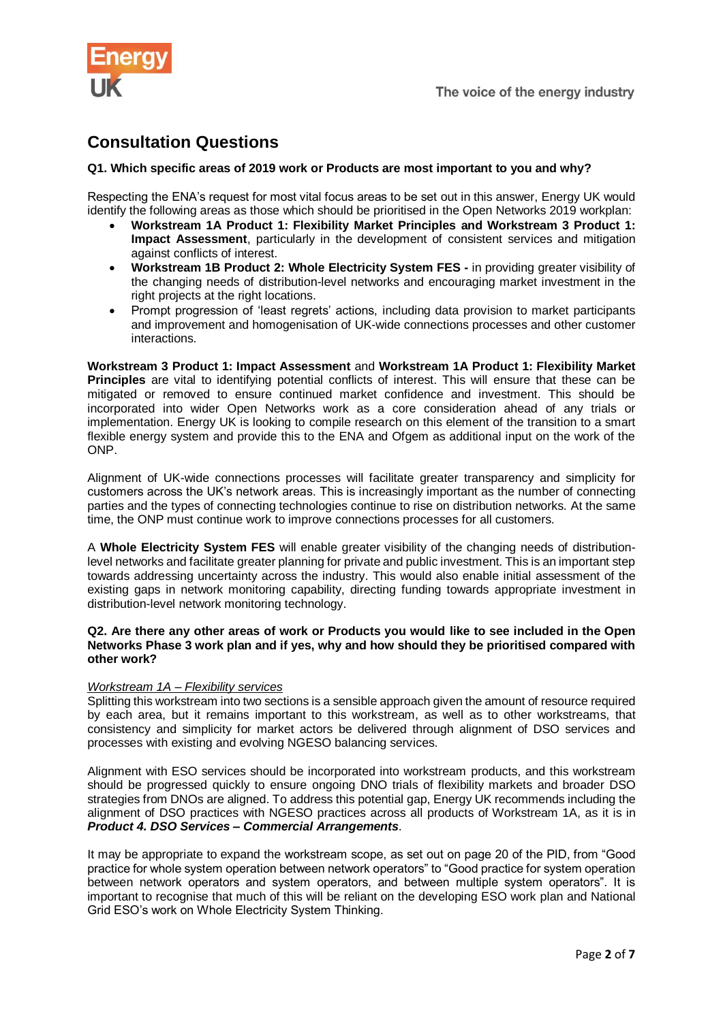

# **Consultation Questions**

## **Q1. Which specific areas of 2019 work or Products are most important to you and why?**

Respecting the ENA's request for most vital focus areas to be set out in this answer, Energy UK would identify the following areas as those which should be prioritised in the Open Networks 2019 workplan:

- **Workstream 1A Product 1: Flexibility Market Principles and Workstream 3 Product 1: Impact Assessment**, particularly in the development of consistent services and mitigation against conflicts of interest.
- **Workstream 1B Product 2: Whole Electricity System FES -** in providing greater visibility of the changing needs of distribution-level networks and encouraging market investment in the right projects at the right locations.
- Prompt progression of 'least regrets' actions, including data provision to market participants and improvement and homogenisation of UK-wide connections processes and other customer interactions.

**Workstream 3 Product 1: Impact Assessment** and **Workstream 1A Product 1: Flexibility Market Principles** are vital to identifying potential conflicts of interest. This will ensure that these can be mitigated or removed to ensure continued market confidence and investment. This should be incorporated into wider Open Networks work as a core consideration ahead of any trials or implementation. Energy UK is looking to compile research on this element of the transition to a smart flexible energy system and provide this to the ENA and Ofgem as additional input on the work of the ONP.

Alignment of UK-wide connections processes will facilitate greater transparency and simplicity for customers across the UK's network areas. This is increasingly important as the number of connecting parties and the types of connecting technologies continue to rise on distribution networks. At the same time, the ONP must continue work to improve connections processes for all customers.

A **Whole Electricity System FES** will enable greater visibility of the changing needs of distributionlevel networks and facilitate greater planning for private and public investment. This is an important step towards addressing uncertainty across the industry. This would also enable initial assessment of the existing gaps in network monitoring capability, directing funding towards appropriate investment in distribution-level network monitoring technology.

### **Q2. Are there any other areas of work or Products you would like to see included in the Open Networks Phase 3 work plan and if yes, why and how should they be prioritised compared with other work?**

#### *Workstream 1A – Flexibility services*

Splitting this workstream into two sections is a sensible approach given the amount of resource required by each area, but it remains important to this workstream, as well as to other workstreams, that consistency and simplicity for market actors be delivered through alignment of DSO services and processes with existing and evolving NGESO balancing services.

Alignment with ESO services should be incorporated into workstream products, and this workstream should be progressed quickly to ensure ongoing DNO trials of flexibility markets and broader DSO strategies from DNOs are aligned. To address this potential gap, Energy UK recommends including the alignment of DSO practices with NGESO practices across all products of Workstream 1A, as it is in *Product 4. DSO Services – Commercial Arrangements*.

It may be appropriate to expand the workstream scope, as set out on page 20 of the PID, from "Good practice for whole system operation between network operators" to "Good practice for system operation between network operators and system operators, and between multiple system operators". It is important to recognise that much of this will be reliant on the developing ESO work plan and National Grid ESO's work on Whole Electricity System Thinking.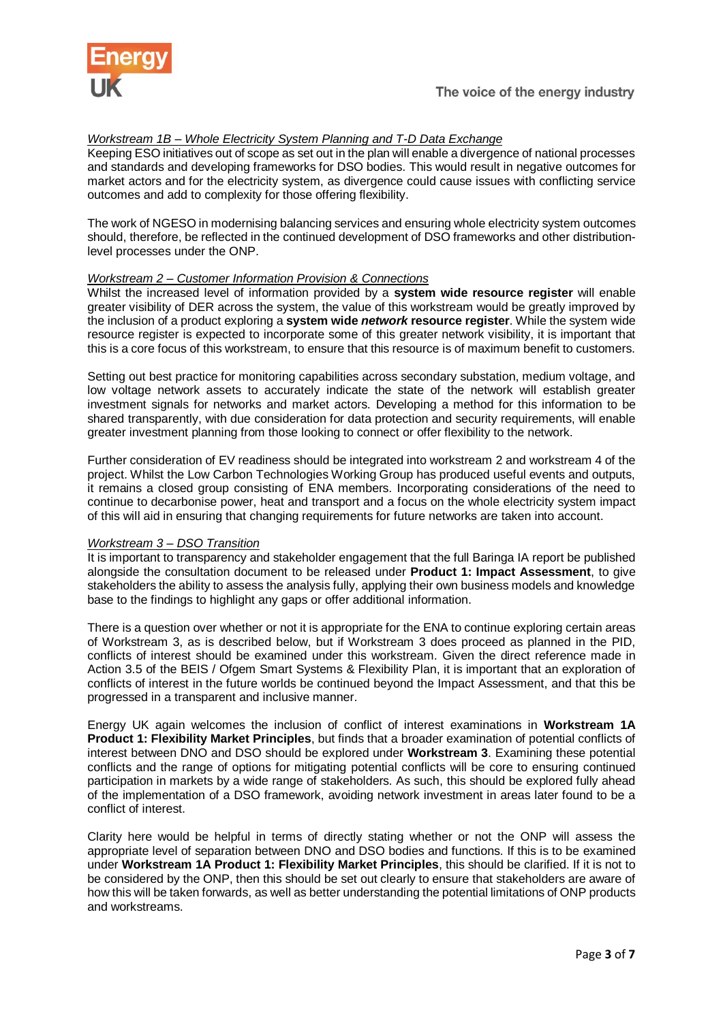

## *Workstream 1B – Whole Electricity System Planning and T-D Data Exchange*

Keeping ESO initiatives out of scope as set out in the plan will enable a divergence of national processes and standards and developing frameworks for DSO bodies. This would result in negative outcomes for market actors and for the electricity system, as divergence could cause issues with conflicting service outcomes and add to complexity for those offering flexibility.

The work of NGESO in modernising balancing services and ensuring whole electricity system outcomes should, therefore, be reflected in the continued development of DSO frameworks and other distributionlevel processes under the ONP.

## *Workstream 2 – Customer Information Provision & Connections*

Whilst the increased level of information provided by a **system wide resource register** will enable greater visibility of DER across the system, the value of this workstream would be greatly improved by the inclusion of a product exploring a **system wide** *network* **resource register**. While the system wide resource register is expected to incorporate some of this greater network visibility, it is important that this is a core focus of this workstream, to ensure that this resource is of maximum benefit to customers.

Setting out best practice for monitoring capabilities across secondary substation, medium voltage, and low voltage network assets to accurately indicate the state of the network will establish greater investment signals for networks and market actors. Developing a method for this information to be shared transparently, with due consideration for data protection and security requirements, will enable greater investment planning from those looking to connect or offer flexibility to the network.

Further consideration of EV readiness should be integrated into workstream 2 and workstream 4 of the project. Whilst the Low Carbon Technologies Working Group has produced useful events and outputs, it remains a closed group consisting of ENA members. Incorporating considerations of the need to continue to decarbonise power, heat and transport and a focus on the whole electricity system impact of this will aid in ensuring that changing requirements for future networks are taken into account.

#### *Workstream 3 – DSO Transition*

It is important to transparency and stakeholder engagement that the full Baringa IA report be published alongside the consultation document to be released under **Product 1: Impact Assessment**, to give stakeholders the ability to assess the analysis fully, applying their own business models and knowledge base to the findings to highlight any gaps or offer additional information.

There is a question over whether or not it is appropriate for the ENA to continue exploring certain areas of Workstream 3, as is described below, but if Workstream 3 does proceed as planned in the PID, conflicts of interest should be examined under this workstream. Given the direct reference made in Action 3.5 of the BEIS / Ofgem Smart Systems & Flexibility Plan, it is important that an exploration of conflicts of interest in the future worlds be continued beyond the Impact Assessment, and that this be progressed in a transparent and inclusive manner.

Energy UK again welcomes the inclusion of conflict of interest examinations in **Workstream 1A Product 1: Flexibility Market Principles**, but finds that a broader examination of potential conflicts of interest between DNO and DSO should be explored under **Workstream 3**. Examining these potential conflicts and the range of options for mitigating potential conflicts will be core to ensuring continued participation in markets by a wide range of stakeholders. As such, this should be explored fully ahead of the implementation of a DSO framework, avoiding network investment in areas later found to be a conflict of interest.

Clarity here would be helpful in terms of directly stating whether or not the ONP will assess the appropriate level of separation between DNO and DSO bodies and functions. If this is to be examined under **Workstream 1A Product 1: Flexibility Market Principles**, this should be clarified. If it is not to be considered by the ONP, then this should be set out clearly to ensure that stakeholders are aware of how this will be taken forwards, as well as better understanding the potential limitations of ONP products and workstreams.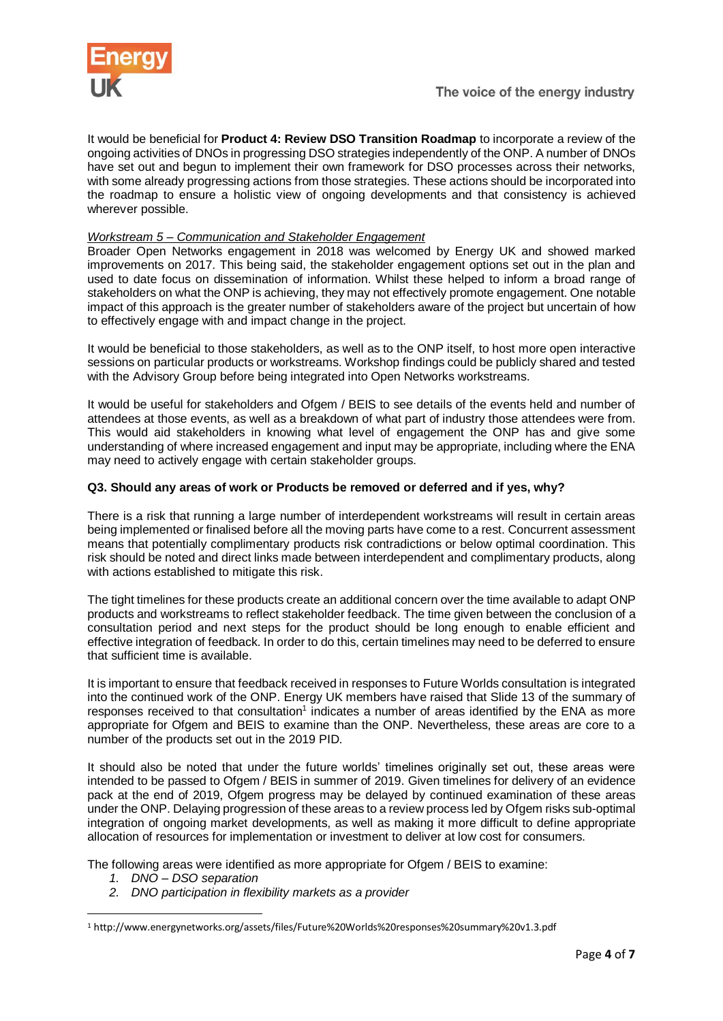

It would be beneficial for **Product 4: Review DSO Transition Roadmap** to incorporate a review of the ongoing activities of DNOs in progressing DSO strategies independently of the ONP. A number of DNOs have set out and begun to implement their own framework for DSO processes across their networks, with some already progressing actions from those strategies. These actions should be incorporated into the roadmap to ensure a holistic view of ongoing developments and that consistency is achieved wherever possible.

# *Workstream 5 – Communication and Stakeholder Engagement*

Broader Open Networks engagement in 2018 was welcomed by Energy UK and showed marked improvements on 2017. This being said, the stakeholder engagement options set out in the plan and used to date focus on dissemination of information. Whilst these helped to inform a broad range of stakeholders on what the ONP is achieving, they may not effectively promote engagement. One notable impact of this approach is the greater number of stakeholders aware of the project but uncertain of how to effectively engage with and impact change in the project.

It would be beneficial to those stakeholders, as well as to the ONP itself, to host more open interactive sessions on particular products or workstreams. Workshop findings could be publicly shared and tested with the Advisory Group before being integrated into Open Networks workstreams.

It would be useful for stakeholders and Ofgem / BEIS to see details of the events held and number of attendees at those events, as well as a breakdown of what part of industry those attendees were from. This would aid stakeholders in knowing what level of engagement the ONP has and give some understanding of where increased engagement and input may be appropriate, including where the ENA may need to actively engage with certain stakeholder groups.

## **Q3. Should any areas of work or Products be removed or deferred and if yes, why?**

There is a risk that running a large number of interdependent workstreams will result in certain areas being implemented or finalised before all the moving parts have come to a rest. Concurrent assessment means that potentially complimentary products risk contradictions or below optimal coordination. This risk should be noted and direct links made between interdependent and complimentary products, along with actions established to mitigate this risk.

The tight timelines for these products create an additional concern over the time available to adapt ONP products and workstreams to reflect stakeholder feedback. The time given between the conclusion of a consultation period and next steps for the product should be long enough to enable efficient and effective integration of feedback. In order to do this, certain timelines may need to be deferred to ensure that sufficient time is available.

It is important to ensure that feedback received in responses to Future Worlds consultation is integrated into the continued work of the ONP. Energy UK members have raised that Slide 13 of the summary of responses received to that consultation<sup>1</sup> indicates a number of areas identified by the ENA as more appropriate for Ofgem and BEIS to examine than the ONP. Nevertheless, these areas are core to a number of the products set out in the 2019 PID.

It should also be noted that under the future worlds' timelines originally set out, these areas were intended to be passed to Ofgem / BEIS in summer of 2019. Given timelines for delivery of an evidence pack at the end of 2019, Ofgem progress may be delayed by continued examination of these areas under the ONP. Delaying progression of these areas to a review process led by Ofgem risks sub-optimal integration of ongoing market developments, as well as making it more difficult to define appropriate allocation of resources for implementation or investment to deliver at low cost for consumers.

The following areas were identified as more appropriate for Ofgem / BEIS to examine:

*1. DNO – DSO separation*

1

*2. DNO participation in flexibility markets as a provider*

<sup>1</sup> http://www.energynetworks.org/assets/files/Future%20Worlds%20responses%20summary%20v1.3.pdf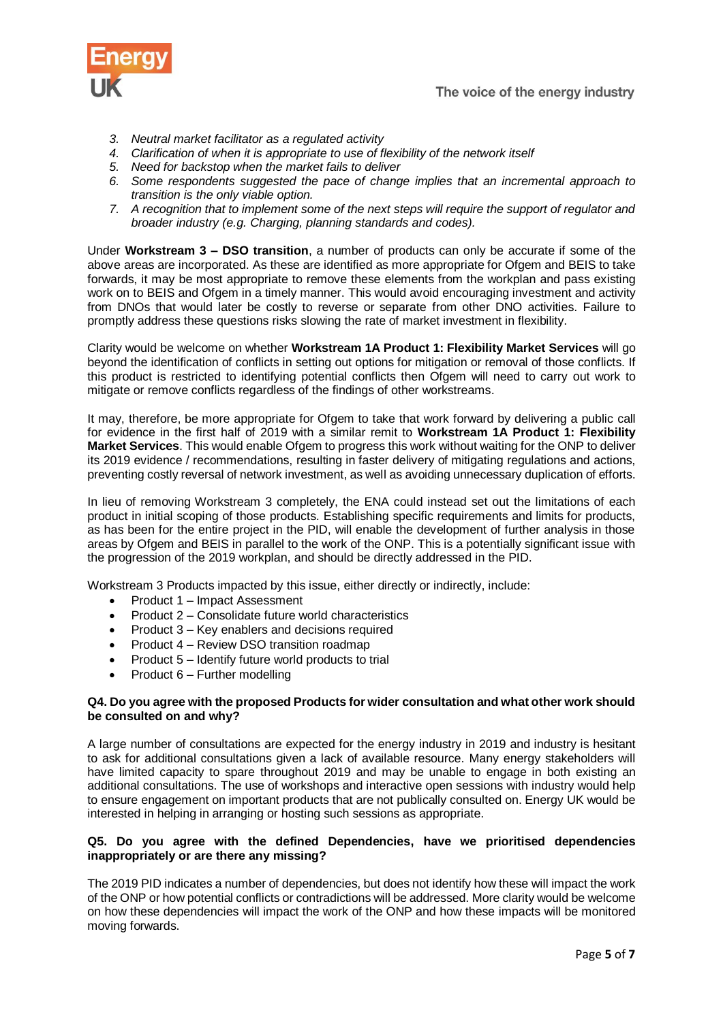

- *3. Neutral market facilitator as a regulated activity*
- *4. Clarification of when it is appropriate to use of flexibility of the network itself*
- *5. Need for backstop when the market fails to deliver*
- *6. Some respondents suggested the pace of change implies that an incremental approach to transition is the only viable option.*
- *7. A recognition that to implement some of the next steps will require the support of regulator and broader industry (e.g. Charging, planning standards and codes).*

Under **Workstream 3 – DSO transition**, a number of products can only be accurate if some of the above areas are incorporated. As these are identified as more appropriate for Ofgem and BEIS to take forwards, it may be most appropriate to remove these elements from the workplan and pass existing work on to BEIS and Ofgem in a timely manner. This would avoid encouraging investment and activity from DNOs that would later be costly to reverse or separate from other DNO activities. Failure to promptly address these questions risks slowing the rate of market investment in flexibility.

Clarity would be welcome on whether **Workstream 1A Product 1: Flexibility Market Services** will go beyond the identification of conflicts in setting out options for mitigation or removal of those conflicts. If this product is restricted to identifying potential conflicts then Ofgem will need to carry out work to mitigate or remove conflicts regardless of the findings of other workstreams.

It may, therefore, be more appropriate for Ofgem to take that work forward by delivering a public call for evidence in the first half of 2019 with a similar remit to **Workstream 1A Product 1: Flexibility Market Services**. This would enable Ofgem to progress this work without waiting for the ONP to deliver its 2019 evidence / recommendations, resulting in faster delivery of mitigating regulations and actions, preventing costly reversal of network investment, as well as avoiding unnecessary duplication of efforts.

In lieu of removing Workstream 3 completely, the ENA could instead set out the limitations of each product in initial scoping of those products. Establishing specific requirements and limits for products, as has been for the entire project in the PID, will enable the development of further analysis in those areas by Ofgem and BEIS in parallel to the work of the ONP. This is a potentially significant issue with the progression of the 2019 workplan, and should be directly addressed in the PID.

Workstream 3 Products impacted by this issue, either directly or indirectly, include:

- Product 1 Impact Assessment
- Product 2 Consolidate future world characteristics
- Product 3 Key enablers and decisions required
- Product 4 Review DSO transition roadmap
- Product  $5$  Identify future world products to trial
- Product 6 Further modelling

### **Q4. Do you agree with the proposed Products for wider consultation and what other work should be consulted on and why?**

A large number of consultations are expected for the energy industry in 2019 and industry is hesitant to ask for additional consultations given a lack of available resource. Many energy stakeholders will have limited capacity to spare throughout 2019 and may be unable to engage in both existing an additional consultations. The use of workshops and interactive open sessions with industry would help to ensure engagement on important products that are not publically consulted on. Energy UK would be interested in helping in arranging or hosting such sessions as appropriate.

## **Q5. Do you agree with the defined Dependencies, have we prioritised dependencies inappropriately or are there any missing?**

The 2019 PID indicates a number of dependencies, but does not identify how these will impact the work of the ONP or how potential conflicts or contradictions will be addressed. More clarity would be welcome on how these dependencies will impact the work of the ONP and how these impacts will be monitored moving forwards.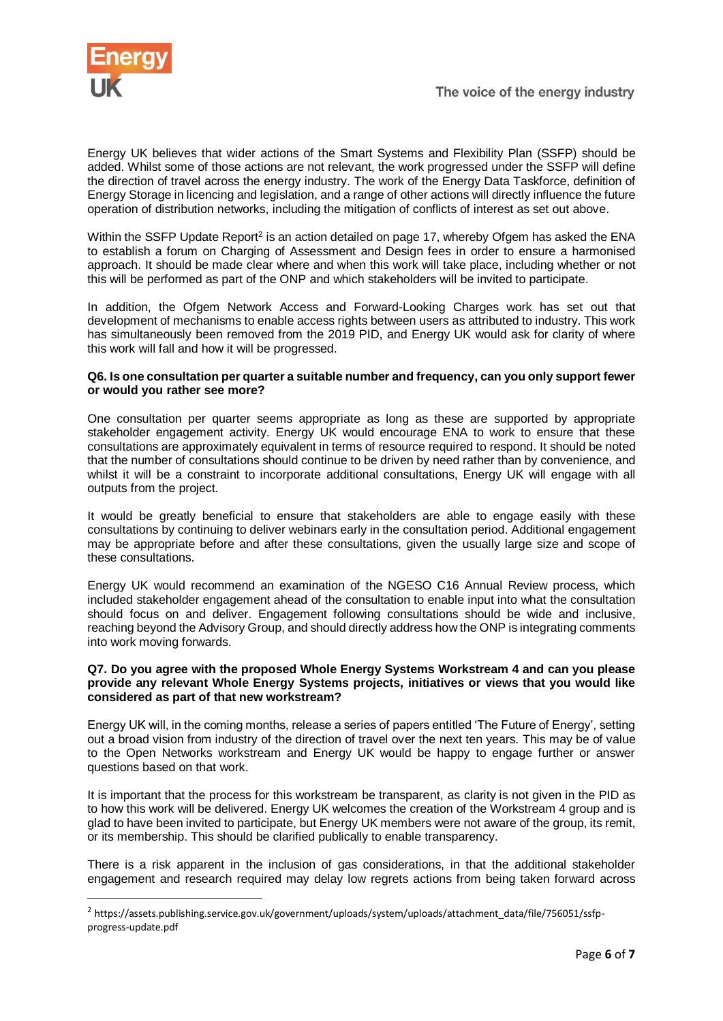

-

Energy UK believes that wider actions of the Smart Systems and Flexibility Plan (SSFP) should be added. Whilst some of those actions are not relevant, the work progressed under the SSFP will define the direction of travel across the energy industry. The work of the Energy Data Taskforce, definition of Energy Storage in licencing and legislation, and a range of other actions will directly influence the future operation of distribution networks, including the mitigation of conflicts of interest as set out above.

Within the SSFP Update Report<sup>2</sup> is an action detailed on page 17, whereby Ofgem has asked the ENA to establish a forum on Charging of Assessment and Design fees in order to ensure a harmonised approach. It should be made clear where and when this work will take place, including whether or not this will be performed as part of the ONP and which stakeholders will be invited to participate.

In addition, the Ofgem Network Access and Forward-Looking Charges work has set out that development of mechanisms to enable access rights between users as attributed to industry. This work has simultaneously been removed from the 2019 PID, and Energy UK would ask for clarity of where this work will fall and how it will be progressed.

#### **Q6. Is one consultation per quarter a suitable number and frequency, can you only support fewer or would you rather see more?**

One consultation per quarter seems appropriate as long as these are supported by appropriate stakeholder engagement activity. Energy UK would encourage ENA to work to ensure that these consultations are approximately equivalent in terms of resource required to respond. It should be noted that the number of consultations should continue to be driven by need rather than by convenience, and whilst it will be a constraint to incorporate additional consultations. Energy UK will engage with all outputs from the project.

It would be greatly beneficial to ensure that stakeholders are able to engage easily with these consultations by continuing to deliver webinars early in the consultation period. Additional engagement may be appropriate before and after these consultations, given the usually large size and scope of these consultations.

Energy UK would recommend an examination of the NGESO C16 Annual Review process, which included stakeholder engagement ahead of the consultation to enable input into what the consultation should focus on and deliver. Engagement following consultations should be wide and inclusive, reaching beyond the Advisory Group, and should directly address how the ONP is integrating comments into work moving forwards.

#### **Q7. Do you agree with the proposed Whole Energy Systems Workstream 4 and can you please provide any relevant Whole Energy Systems projects, initiatives or views that you would like considered as part of that new workstream?**

Energy UK will, in the coming months, release a series of papers entitled 'The Future of Energy', setting out a broad vision from industry of the direction of travel over the next ten years. This may be of value to the Open Networks workstream and Energy UK would be happy to engage further or answer questions based on that work.

It is important that the process for this workstream be transparent, as clarity is not given in the PID as to how this work will be delivered. Energy UK welcomes the creation of the Workstream 4 group and is glad to have been invited to participate, but Energy UK members were not aware of the group, its remit, or its membership. This should be clarified publically to enable transparency.

There is a risk apparent in the inclusion of gas considerations, in that the additional stakeholder engagement and research required may delay low regrets actions from being taken forward across

<sup>&</sup>lt;sup>2</sup> https://assets.publishing.service.gov.uk/government/uploads/system/uploads/attachment\_data/file/756051/ssfpprogress-update.pdf